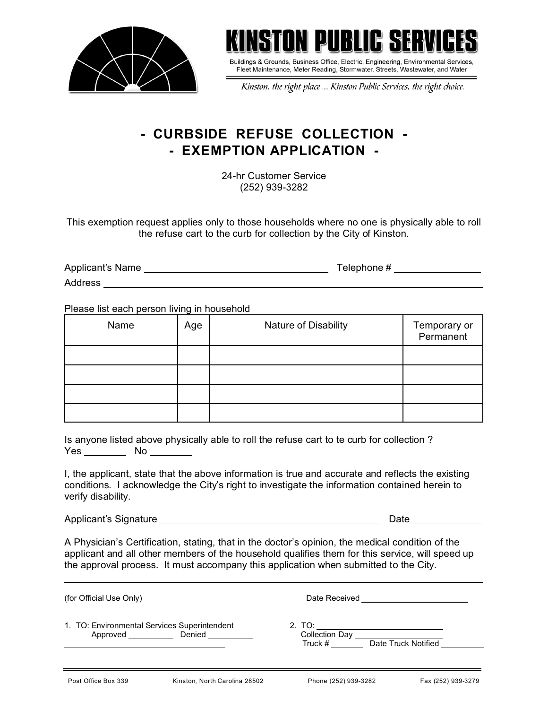



Buildings & Grounds, Business Office, Electric, Engineering, Environmental Services, Fleet Maintenance, Meter Reading, Stormwater, Streets, Wastewater, and Water

Kinston, the right place ... Kinston Public Services, the right choice.

## **- CURBSIDE REFUSE COLLECTION - - EXEMPTION APPLICATION -**

24-hr Customer Service (252) 939-3282

This exemption request applies only to those households where no one is physically able to roll the refuse cart to the curb for collection by the City of Kinston.

| Applicant's Name | Telephone# |
|------------------|------------|
| <b>Address</b>   |            |

Please list each person living in household

| Name | Age | Nature of Disability | Temporary or<br>Permanent |
|------|-----|----------------------|---------------------------|
|      |     |                      |                           |
|      |     |                      |                           |
|      |     |                      |                           |
|      |     |                      |                           |

| Is anyone listed above physically able to roll the refuse cart to te curb for collection? |     |  |  |  |  |  |
|-------------------------------------------------------------------------------------------|-----|--|--|--|--|--|
| <b>Yes</b>                                                                                | No. |  |  |  |  |  |

I, the applicant, state that the above information is true and accurate and reflects the existing conditions. I acknowledge the City's right to investigate the information contained herein to verify disability.

Applicant's Signature Date

A Physician's Certification, stating, that in the doctor's opinion, the medical condition of the applicant and all other members of the household qualifies them for this service, will speed up the approval process. It must accompany this application when submitted to the City.

(for Official Use Only) Date Received

1. TO: Environmental Services Superintendent 2. TO: Approved Denied

Truck # <u>Date Truck Notified</u><br>Truck # Date Truck Notified